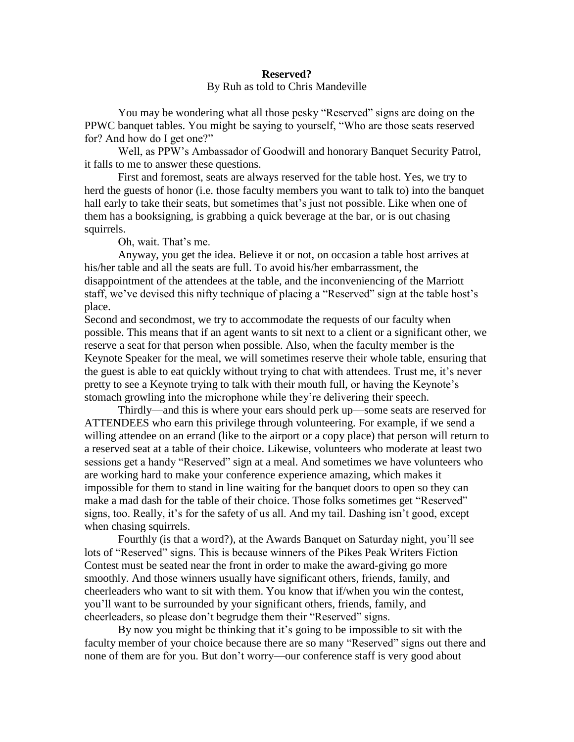## **Reserved?** By Ruh as told to Chris Mandeville

You may be wondering what all those pesky "Reserved" signs are doing on the PPWC banquet tables. You might be saying to yourself, "Who are those seats reserved for? And how do I get one?"

Well, as PPW's Ambassador of Goodwill and honorary Banquet Security Patrol, it falls to me to answer these questions.

First and foremost, seats are always reserved for the table host. Yes, we try to herd the guests of honor (i.e. those faculty members you want to talk to) into the banquet hall early to take their seats, but sometimes that's just not possible. Like when one of them has a booksigning, is grabbing a quick beverage at the bar, or is out chasing squirrels.

Oh, wait. That's me.

Anyway, you get the idea. Believe it or not, on occasion a table host arrives at his/her table and all the seats are full. To avoid his/her embarrassment, the disappointment of the attendees at the table, and the inconveniencing of the Marriott staff, we've devised this nifty technique of placing a "Reserved" sign at the table host's place.

Second and secondmost, we try to accommodate the requests of our faculty when possible. This means that if an agent wants to sit next to a client or a significant other, we reserve a seat for that person when possible. Also, when the faculty member is the Keynote Speaker for the meal, we will sometimes reserve their whole table, ensuring that the guest is able to eat quickly without trying to chat with attendees. Trust me, it's never pretty to see a Keynote trying to talk with their mouth full, or having the Keynote's stomach growling into the microphone while they're delivering their speech.

Thirdly—and this is where your ears should perk up—some seats are reserved for ATTENDEES who earn this privilege through volunteering. For example, if we send a willing attendee on an errand (like to the airport or a copy place) that person will return to a reserved seat at a table of their choice. Likewise, volunteers who moderate at least two sessions get a handy "Reserved" sign at a meal. And sometimes we have volunteers who are working hard to make your conference experience amazing, which makes it impossible for them to stand in line waiting for the banquet doors to open so they can make a mad dash for the table of their choice. Those folks sometimes get "Reserved" signs, too. Really, it's for the safety of us all. And my tail. Dashing isn't good, except when chasing squirrels.

Fourthly (is that a word?), at the Awards Banquet on Saturday night, you'll see lots of "Reserved" signs. This is because winners of the Pikes Peak Writers Fiction Contest must be seated near the front in order to make the award-giving go more smoothly. And those winners usually have significant others, friends, family, and cheerleaders who want to sit with them. You know that if/when you win the contest, you'll want to be surrounded by your significant others, friends, family, and cheerleaders, so please don't begrudge them their "Reserved" signs.

By now you might be thinking that it's going to be impossible to sit with the faculty member of your choice because there are so many "Reserved" signs out there and none of them are for you. But don't worry—our conference staff is very good about